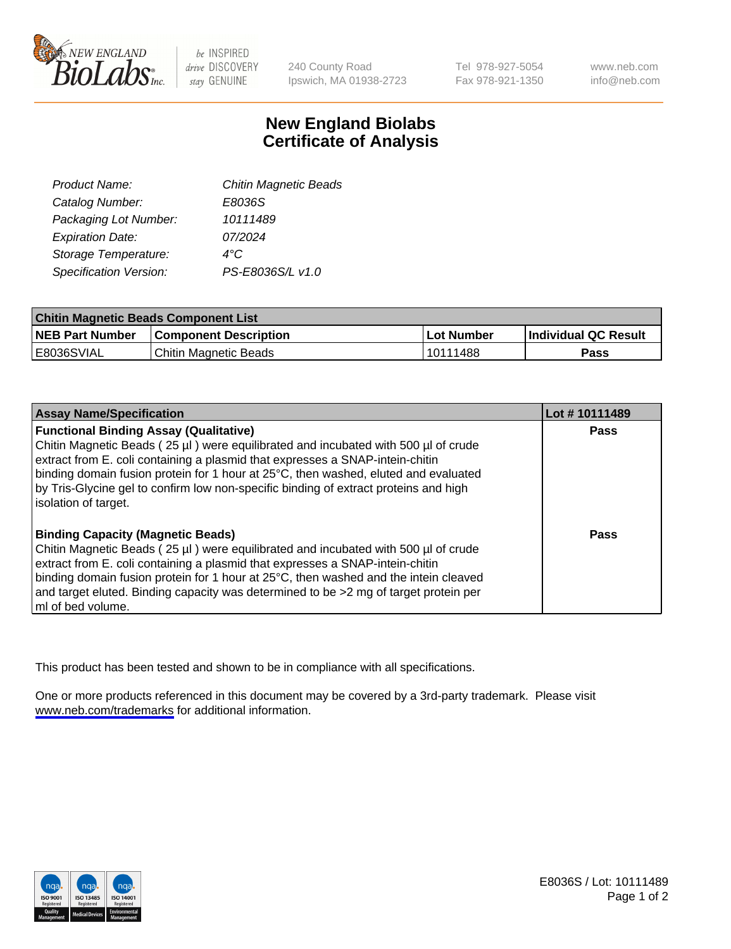

be INSPIRED drive DISCOVERY stay GENUINE

240 County Road Ipswich, MA 01938-2723 Tel 978-927-5054 Fax 978-921-1350

www.neb.com info@neb.com

## **New England Biolabs Certificate of Analysis**

| <b>Chitin Magnetic Beads</b> |
|------------------------------|
| E8036S                       |
| 10111489                     |
| 07/2024                      |
|                              |
| PS-E8036S/L v1.0             |
|                              |

| <b>Chitin Magnetic Beads Component List</b> |                              |              |                      |  |
|---------------------------------------------|------------------------------|--------------|----------------------|--|
| <b>NEB Part Number</b>                      | <b>Component Description</b> | l Lot Number | Individual QC Result |  |
| E8036SVIAL                                  | Chitin Magnetic Beads        | l 10111488   | Pass                 |  |

| <b>Assay Name/Specification</b>                                                                                                                                                                                                                                                                                                                                                                                            | Lot #10111489 |
|----------------------------------------------------------------------------------------------------------------------------------------------------------------------------------------------------------------------------------------------------------------------------------------------------------------------------------------------------------------------------------------------------------------------------|---------------|
| <b>Functional Binding Assay (Qualitative)</b><br>Chitin Magnetic Beads (25 µl) were equilibrated and incubated with 500 µl of crude<br>extract from E. coli containing a plasmid that expresses a SNAP-intein-chitin<br>binding domain fusion protein for 1 hour at 25°C, then washed, eluted and evaluated<br>by Tris-Glycine gel to confirm low non-specific binding of extract proteins and high<br>solation of target. | Pass          |
| <b>Binding Capacity (Magnetic Beads)</b><br>Chitin Magnetic Beads (25 µl) were equilibrated and incubated with 500 µl of crude<br>extract from E. coli containing a plasmid that expresses a SNAP-intein-chitin<br>binding domain fusion protein for 1 hour at 25°C, then washed and the intein cleaved<br>and target eluted. Binding capacity was determined to be >2 mg of target protein per<br>ml of bed volume.       | Pass          |

This product has been tested and shown to be in compliance with all specifications.

One or more products referenced in this document may be covered by a 3rd-party trademark. Please visit <www.neb.com/trademarks>for additional information.